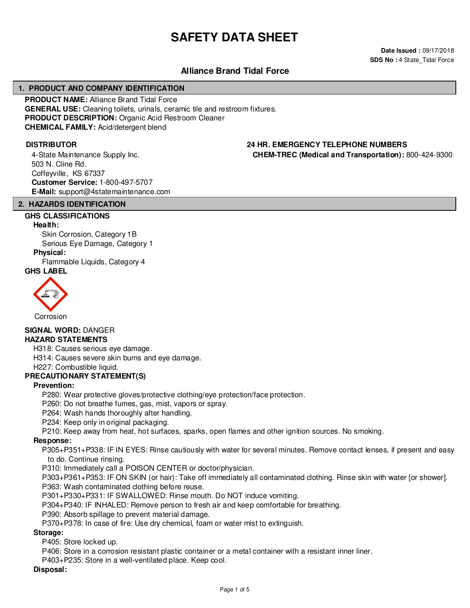## **SAFETY DATA SHEET**

**Date Issued :** 09/17/2018 **SDS No : 4 State\_Tidal Force** 

#### **Alliance Brand Tidal Force**

#### **1. PRODUCT AND COMPANY IDENTIFICATION**

**PRODUCT NAME:** Alliance Brand Tidal Force **GENERAL USE:** Cleaning toilets, urinals, ceramic tile and restroom fixtures. **PRODUCT DESCRIPTION:** Organic Acid Restroom Cleaner **CHEMICAL FAMILY:** Acid/detergent blend

4-State Maintenance Supply Inc. 503 N. Cline Rd. Coffeyville, KS 67337 **Customer Service:** 1-800-497-5707 **E-Mail:** support@4statemaintenance.com

## **CHEM-TREC (Medical and Transportation):** 800-424-9300

#### **2. HAZARDS IDENTIFICATION**

#### **GHS CLASSIFICATIONS**

#### **Health:**

Skin Corrosion, Category 1B Serious Eye Damage, Category 1

#### **Physical:**

Flammable Liquids, Category 4 **GHS LABEL**

# Corrosion

### **SIGNAL WORD:** DANGER

#### **HAZARD STATEMENTS**

H318: Causes serious eye damage.

H314: Causes severe skin burns and eye damage.

H227: Combustible liquid.

#### **PRECAUTIONARY STATEMENT(S)**

#### **Prevention:**

P280: Wear protective gloves/protective clothing/eye protection/face protection.

P260: Do not breathe fumes, gas, mist, vapors or spray.

P264: Wash hands thoroughly after handling.

P234: Keep only in original packaging.

P210: Keep away from heat, hot surfaces, sparks, open flames and other ignition sources. No smoking.

#### **Response:**

P305+P351+P338: IF IN EYES: Rinse cautiously with water for several minutes. Remove contact lenses, if present and easy to do. Continue rinsing.

P310: Immediately call a POISON CENTER or doctor/physician.

P303+P361+P353: IF ON SKIN (or hair): Take off immediately all contaminated clothing. Rinse skin with water [or shower]. P363: Wash contaminated clothing before reuse.

P301+P330+P331: IF SWALLOWED: Rinse mouth. Do NOT induce vomiting.

P304+P340: IF INHALED: Remove person to fresh air and keep comfortable for breathing.

P390: Absorb spillage to prevent material damage.

P370+P378: In case of fire: Use dry chemical, foam or water mist to extinguish.

#### **Storage:**

P405: Store locked up.

P406: Store in a corrosion resistant plastic container or a metal container with a resistant inner liner.

P403+P235: Store in a well-ventilated place. Keep cool.

#### **Disposal:**

## **DISTRIBUTOR 24 HR. EMERGENCY TELEPHONE NUMBERS**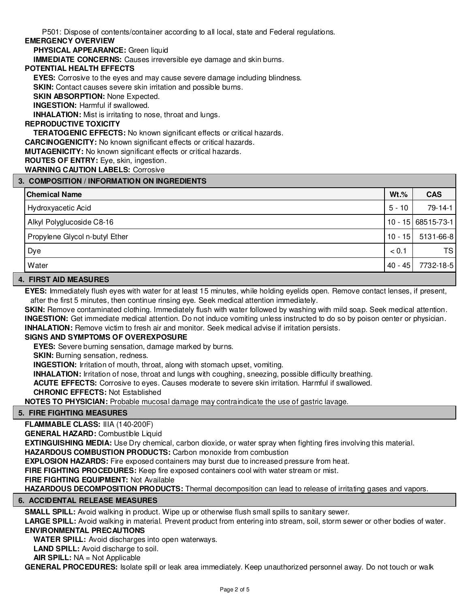P501: Dispose of contents/container according to all local, state and Federal regulations.

#### **EMERGENCY OVERVIEW**

**PHYSICAL APPEARANCE:** Green liquid

**IMMEDIATE CONCERNS:** Causes irreversible eye damage and skin burns.

#### **POTENTIAL HEALTH EFFECTS**

**EYES:** Corrosive to the eyes and may cause severe damage including blindness.

**SKIN:** Contact causes severe skin irritation and possible burns.

**SKIN ABSORPTION: None Expected.** 

**INGESTION:** Harmful if swallowed.

**INHALATION:** Mist is irritating to nose, throat and lungs.

#### **REPRODUCTIVE TOXICITY**

**TERATOGENIC EFFECTS:** No known significant effects or critical hazards.

**CARCINOGENICITY:** No known significant effects or critical hazards.

**MUTAGENICITY:** No known significant effects or critical hazards.

#### **ROUTES OF ENTRY:** Eye, skin, ingestion.

**WARNING CAUTION LABELS:** Corrosive

#### **3. COMPOSITION / INFORMATION ON INGREDIENTS**

| ס וזו שנוש ושזה זו טוויות וועדוני וויות ווועט שהוטט ה |           |                      |  |  |  |
|-------------------------------------------------------|-----------|----------------------|--|--|--|
| <b>Chemical Name</b>                                  | $Wt.\%$   | <b>CAS</b>           |  |  |  |
| Hydroxyacetic Acid                                    | $5 - 10$  | 79-14-1              |  |  |  |
| Alkyl Polyglucoside C8-16                             |           | $10 - 15$ 68515-73-1 |  |  |  |
| Propylene Glycol n-butyl Ether                        | $10 - 15$ | 5131-66-8            |  |  |  |
| Dye                                                   | < 0.1     | TS                   |  |  |  |
| Water                                                 | $40 - 45$ | 7732-18-5            |  |  |  |

#### **4. FIRST AID MEASURES**

**EYES:** Immediately flush eyes with water for at least 15 minutes, while holding eyelids open. Remove contact lenses, if present, after the first 5 minutes, then continue rinsing eye. Seek medical attention immediately.

**SKIN:** Remove contaminated clothing. Immediately flush with water followed by washing with mild soap. Seek medical attention. **INGESTION:** Get immediate medical attention. Do not induce vomiting unless instructed to do so by poison center or physician. **INHALATION:** Remove victim to fresh air and monitor. Seek medical advise if irritation persists.

#### **SIGNS AND SYMPTOMS OF OVEREXPOSURE**

**EYES:** Severe burning sensation, damage marked by burns.

**SKIN:** Burning sensation, redness.

**INGESTION:** Irritation of mouth, throat, along with stomach upset, vomiting.

**INHALATION:** Irritation of nose, throat and lungs with coughing, sneezing, possible difficulty breathing.

**ACUTE EFFECTS:** Corrosive to eyes. Causes moderate to severe skin irritation. Harmful if swallowed.

**CHRONIC EFFECTS:** Not Established

**NOTES TO PHYSICIAN:** Probable mucosal damage may contraindicate the use of gastric lavage.

#### **5. FIRE FIGHTING MEASURES**

**FLAMMABLE CLASS:** IIIA (140-200F)

**GENERAL HAZARD:** Combustible Liquid

**EXTINGUISHING MEDIA:** Use Dry chemical, carbon dioxide, or water spray when fighting fires involving this material.

**HAZARDOUS COMBUSTION PRODUCTS:** Carbon monoxide from combustion

**EXPLOSION HAZARDS:** Fire exposed containers may burst due to increased pressure from heat.

**FIRE FIGHTING PROCEDURES:** Keep fire exposed containers cool with water stream or mist.

#### **FIRE FIGHTING EQUIPMENT:** Not Available

**HAZARDOUS DECOMPOSITION PRODUCTS:** Thermal decomposition can lead to release of irritating gases and vapors.

#### **6. ACCIDENTAL RELEASE MEASURES**

**SMALL SPILL:** Avoid walking in product. Wipe up or otherwise flush small spills to sanitary sewer.

**LARGE SPILL:** Avoid walking in material. Prevent product from entering into stream, soil, storm sewer or other bodies of water. **ENVIRONMENTAL PRECAUTIONS**

**WATER SPILL:** Avoid discharges into open waterways.

**LAND SPILL:** Avoid discharge to soil.

**AIR SPILL:** NA = Not Applicable

**GENERAL PROCEDURES:** Isolate spill or leak area immediately. Keep unauthorized personnel away. Do not touch or walk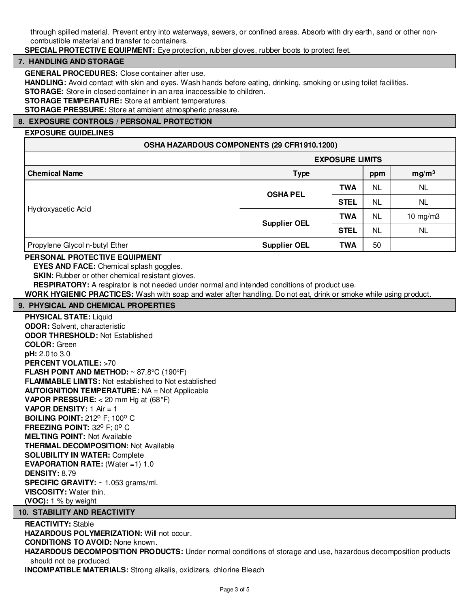through spilled material. Prevent entry into waterways, sewers, or confined areas. Absorb with dry earth, sand or other noncombustible material and transfer to containers.

#### **SPECIAL PROTECTIVE EQUIPMENT:** Eye protection, rubber gloves, rubber boots to protect feet.

#### **7. HANDLING AND STORAGE**

**GENERAL PROCEDURES:** Close container after use.

**HANDLING:** Avoid contact with skin and eyes. Wash hands before eating, drinking, smoking or using toilet facilities.

**STORAGE:** Store in closed container in an area inaccessible to children.

**STORAGE TEMPERATURE:** Store at ambient temperatures.

**STORAGE PRESSURE:** Store at ambient atmospheric pressure.

#### **8. EXPOSURE CONTROLS / PERSONAL PROTECTION**

#### **EXPOSURE GUIDELINES**

| OSHA HAZARDOUS COMPONENTS (29 CFR1910.1200) |                        |             |           |                   |  |
|---------------------------------------------|------------------------|-------------|-----------|-------------------|--|
|                                             | <b>EXPOSURE LIMITS</b> |             |           |                   |  |
| <b>Chemical Name</b>                        | <b>Type</b>            |             | ppm       | mg/m <sup>3</sup> |  |
| Hydroxyacetic Acid                          | <b>OSHA PEL</b>        | <b>TWA</b>  | NL        | NL.               |  |
|                                             |                        | <b>STEL</b> | <b>NL</b> | NL.               |  |
|                                             | <b>Supplier OEL</b>    | <b>TWA</b>  | NL        | 10 mg/m $3$       |  |
|                                             |                        | <b>STEL</b> | <b>NL</b> | NL                |  |
| Propylene Glycol n-butyl Ether              | <b>Supplier OEL</b>    | <b>TWA</b>  | 50        |                   |  |

#### **PERSONAL PROTECTIVE EQUIPMENT**

**EYES AND FACE:** Chemical splash goggles.

**SKIN:** Rubber or other chemical resistant gloves.

**RESPIRATORY:** A respirator is not needed under normal and intended conditions of product use.

**WORK HYGIENIC PRACTICES:** Wash with soap and water after handling. Do not eat, drink or smoke while using product.

#### **9. PHYSICAL AND CHEMICAL PROPERTIES**

**PHYSICAL STATE:** Liquid **ODOR:** Solvent, characteristic **ODOR THRESHOLD:** Not Established **COLOR:** Green **pH:** 2.0 to 3.0 **PERCENT VOLATILE:** >70 **FLASH POINT AND METHOD:** ~ 87.8°C (190°F) **FLAMMABLE LIMITS:** Not established to Not established **AUTOIGNITION TEMPERATURE:** NA = Not Applicable **VAPOR PRESSURE:** < 20 mm Hg at (68°F) **VAPOR DENSITY:** 1 Air = 1 **BOILING POINT: 212° F; 100° C FREEZING POINT: 32° F; 0° C MELTING POINT:** Not Available **THERMAL DECOMPOSITION:** Not Available **SOLUBILITY IN WATER:** Complete **EVAPORATION RATE:** (Water =1) 1.0 **DENSITY:** 8.79 **SPECIFIC GRAVITY:** ~ 1.053 grams/ml. **VISCOSITY:** Water thin. **(VOC):** 1 % by weight

#### **10. STABILITY AND REACTIVITY**

#### **REACTIVITY:** Stable

**HAZARDOUS POLYMERIZATION:** Will not occur.

**CONDITIONS TO AVOID:** None known.

**HAZARDOUS DECOMPOSITION PRODUCTS:** Under normal conditions of storage and use, hazardous decomposition products should not be produced.

**INCOMPATIBLE MATERIALS:** Strong alkalis, oxidizers, chlorine Bleach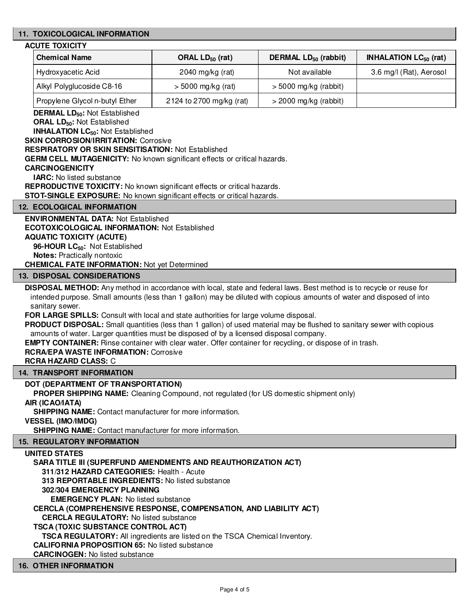#### **11. TOXICOLOGICAL INFORMATION**

#### **ACUTE TOXICITY**

| <b>Chemical Name</b>           | ORAL $LD_{50}$ (rat)     | DERMAL LD <sub>50</sub> (rabbit) | <b>INHALATION LC<math>_{50}</math> (rat)</b> |
|--------------------------------|--------------------------|----------------------------------|----------------------------------------------|
| ' Hydroxyacetic Acid           | 2040 mg/kg $(rat)$       | Not available                    | 3.6 mg/l (Rat), Aerosol                      |
| Alkyl Polyglucoside C8-16      | $>$ 5000 mg/kg (rat)     | $>$ 5000 mg/kg (rabbit)          |                                              |
| Propylene Glycol n-butyl Ether | 2124 to 2700 mg/kg (rat) | $>$ 2000 mg/kg (rabbit)          |                                              |

**DERMAL LD50:** Not Established

**ORAL LD50:** Not Established

**INHALATION LC50:** Not Established

**SKIN CORROSION/IRRITATION: Corrosive** 

**RESPIRATORY OR SKIN SENSITISATION:** Not Established

**GERM CELL MUTAGENICITY:** No known significant effects or critical hazards.

#### **CARCINOGENICITY**

**IARC:** No listed substance

**REPRODUCTIVE TOXICITY:** No known significant effects or critical hazards.

**STOT-SINGLE EXPOSURE:** No known significant effects or critical hazards.

#### **12. ECOLOGICAL INFORMATION**

#### **ENVIRONMENTAL DATA:** Not Established **ECOTOXICOLOGICAL INFORMATION:** Not Established **AQUATIC TOXICITY (ACUTE)**

**96-HOUR LC50:** Not Established

**Notes:** Practically nontoxic

**CHEMICAL FATE INFORMATION:** Not yet Determined

#### **13. DISPOSAL CONSIDERATIONS**

**DISPOSAL METHOD:** Any method in accordance with local, state and federal laws. Best method is to recycle or reuse for intended purpose. Small amounts (less than 1 gallon) may be diluted with copious amounts of water and disposed of into sanitary sewer.

**FOR LARGE SPILLS:** Consult with local and state authorities for large volume disposal.

**PRODUCT DISPOSAL:** Small quantities (less than 1 gallon) of used material may be flushed to sanitary sewer with copious amounts of water. Larger quantities must be disposed of by a licensed disposal company.

**EMPTY CONTAINER:** Rinse container with clear water. Offer container for recycling, or dispose of in trash.

#### **RCRA/EPA WASTE INFORMATION:** Corrosive

**RCRA HAZARD CLASS:** C

#### **14. TRANSPORT INFORMATION**

#### **DOT (DEPARTMENT OF TRANSPORTATION)**

**PROPER SHIPPING NAME:** Cleaning Compound, not regulated (for US domestic shipment only)

#### **AIR (ICAO/IATA)**

**SHIPPING NAME:** Contact manufacturer for more information.

**VESSEL (IMO/IMDG)**

**SHIPPING NAME:** Contact manufacturer for more information.

#### **15. REGULATORY INFORMATION**

**UNITED STATES**

**SARA TITLE III (SUPERFUND AMENDMENTS AND REAUTHORIZATION ACT)**

**311/312 HAZARD CATEGORIES:** Health - Acute

**313 REPORTABLE INGREDIENTS:** No listed substance

**302/304 EMERGENCY PLANNING**

**EMERGENCY PLAN:** No listed substance

**CERCLA (COMPREHENSIVE RESPONSE, COMPENSATION, AND LIABILITY ACT)**

**CERCLA REGULATORY:** No listed substance

**TSCA (TOXIC SUBSTANCE CONTROL ACT)**

**TSCA REGULATORY:** All ingredients are listed on the TSCA Chemical Inventory.

**CALIFORNIA PROPOSITION 65:** No listed substance

**CARCINOGEN:** No listed substance

#### **16. OTHER INFORMATION**